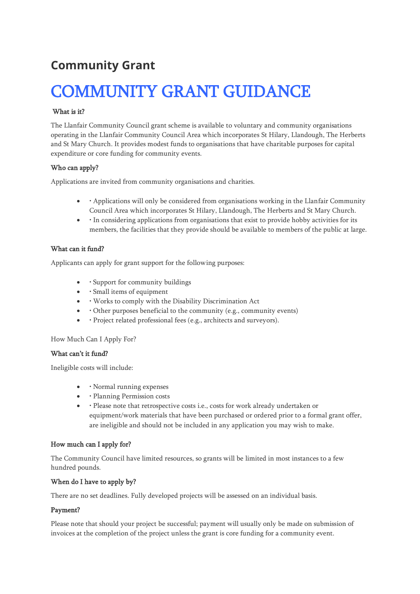# **Community Grant**

# COMMUNITY GRANT GUIDANCE

### What is it?

The Llanfair Community Council grant scheme is available to voluntary and community organisations operating in the Llanfair Community Council Area which incorporates St Hilary, Llandough, The Herberts and St Mary Church. It provides modest funds to organisations that have charitable purposes for capital expenditure or core funding for community events.

#### Who can apply?

Applications are invited from community organisations and charities.

- • Applications will only be considered from organisations working in the Llanfair Community Council Area which incorporates St Hilary, Llandough, The Herberts and St Mary Church.
- • In considering applications from organisations that exist to provide hobby activities for its members, the facilities that they provide should be available to members of the public at large.

#### What can it fund?

Applicants can apply for grant support for the following purposes:

- • Support for community buildings
- • Small items of equipment
- • Works to comply with the Disability Discrimination Act
- • Other purposes beneficial to the community (e.g., community events)
- • Project related professional fees (e.g., architects and surveyors).

#### How Much Can I Apply For?

#### What can't it fund?

Ineligible costs will include:

- • Normal running expenses
- • Planning Permission costs
- • Please note that retrospective costs i.e., costs for work already undertaken or equipment/work materials that have been purchased or ordered prior to a formal grant offer, are ineligible and should not be included in any application you may wish to make.

# How much can I apply for?

The Community Council have limited resources, so grants will be limited in most instances to a few hundred pounds.

#### When do I have to apply by?

There are no set deadlines. Fully developed projects will be assessed on an individual basis.

#### Payment?

Please note that should your project be successful; payment will usually only be made on submission of invoices at the completion of the project unless the grant is core funding for a community event.